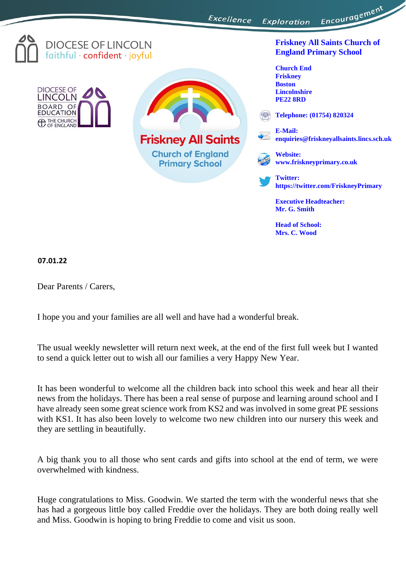Excellence Exploration



Dear Parents / Carers,

I hope you and your families are all well and have had a wonderful break.

The usual weekly newsletter will return next week, at the end of the first full week but I wanted to send a quick letter out to wish all our families a very Happy New Year.

It has been wonderful to welcome all the children back into school this week and hear all their news from the holidays. There has been a real sense of purpose and learning around school and I have already seen some great science work from KS2 and was involved in some great PE sessions with KS1. It has also been lovely to welcome two new children into our nursery this week and they are settling in beautifully.

A big thank you to all those who sent cards and gifts into school at the end of term, we were overwhelmed with kindness.

Huge congratulations to Miss. Goodwin. We started the term with the wonderful news that she has had a gorgeous little boy called Freddie over the holidays. They are both doing really well and Miss. Goodwin is hoping to bring Freddie to come and visit us soon.